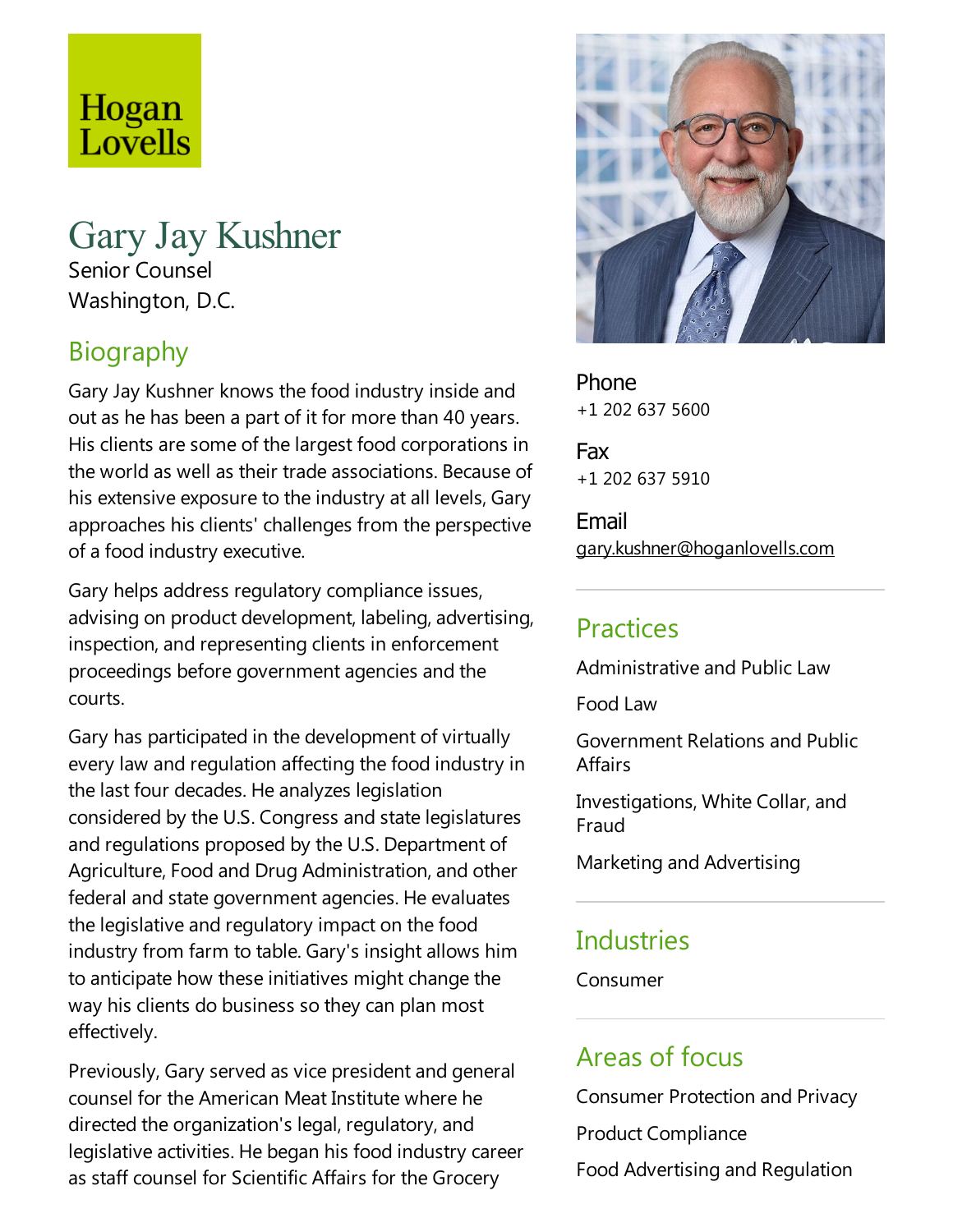# Hogan Lovells

# Gary Jay Kushner Senior Counsel Washington, D.C.

# Biography

Gary Jay Kushner knows the food industry inside and out as he has been a part of it for more than 40 years. His clients are some of the largest food corporations in the world as well as their trade associations. Because of his extensive exposure to the industry at all levels, Gary approaches his clients' challenges from the perspective of a food industry executive.

Gary helps address regulatory compliance issues, advising on product development, labeling, advertising, inspection, and representing clients in enforcement proceedings before government agencies and the courts.

Gary has participated in the development of virtually every law and regulation affecting the food industry in the last four decades. He analyzes legislation considered by the U.S. Congress and statelegislatures and regulations proposed by the U.S. Department of Agriculture, Food and Drug Administration, and other federal and state government agencies. He evaluates the legislative and regulatory impact on the food industry from farm to table. Gary's insight allows him to anticipate how these initiatives might change the way his clients do business so they can plan most effectively.

Previously, Gary served as vice president and general counsel for the American Meat Institute where he directed the organization's legal, regulatory, and legislative activities. He began his food industry career as staff counsel for Scientific Affairs for the Grocery



Phone +1 202 637 5600

Fax +1 202 637 5910

Email gary.kushner@hoganlovells.com

### **Practices**

Administrative and Public Law

Food Law

Government Relations and Public **Affairs** 

Investigations, White Collar, and Fraud

Marketing and Advertising

# **Industries**

Consumer

## Areas of focus

Consumer Protection and Privacy Product Compliance Food Advertising and Regulation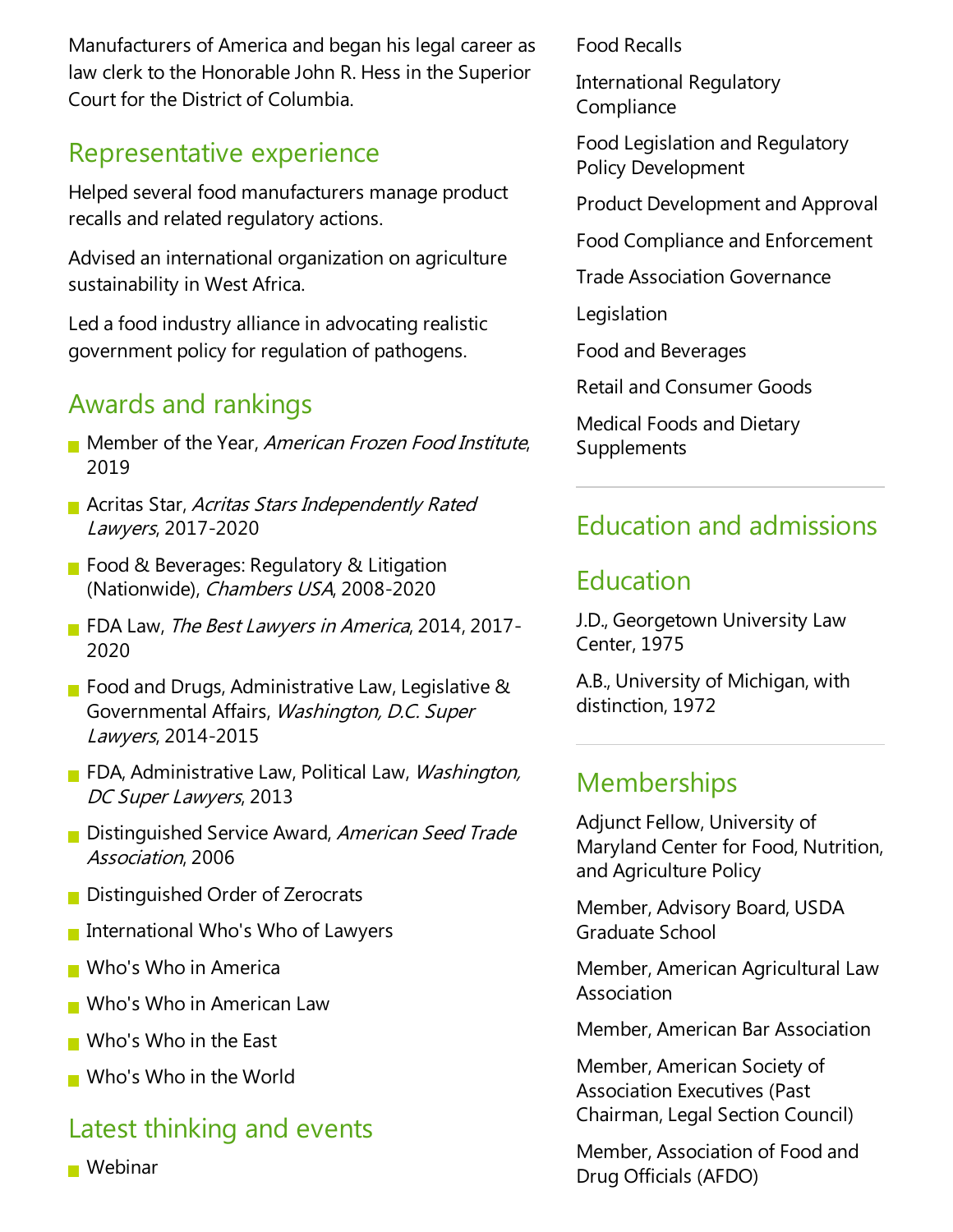Manufacturers of America and began his legal career as law clerk to the Honorable John R. Hess in the Superior Court for the District of Columbia.

### Representative experience

Helped several food manufacturers manage product recalls and related regulatory actions.

Advised an international organization on agriculture sustainability in West Africa.

Led a food industry alliance in advocating realistic government policy for regulation of pathogens.

## Awards and rankings

- Member of the Year, American Frozen Food Institute, 2019
- **Acritas Star, Acritas Stars Independently Rated** Lawyers, 2017-2020
- Food & Beverages: Regulatory & Litigation (Nationwide), Chambers USA, 2008-2020
- FDA Law, The Best Lawyers in America, 2014, 2017-2020
- Food and Drugs, Administrative Law, Legislative  $\&$ Governmental Affairs, Washington, D.C. Super Lawyers, 2014-2015
- FDA, Administrative Law, Political Law, Washington, DC Super Lawyers, 2013
- Distinguished Service Award, American Seed Trade Association, 2006
- **Distinguished Order of Zerocrats**
- **International Who's Who of Lawyers**
- **Nota** Who in America
- Who's Who in American Law
- $\blacksquare$  Who's Who in the East
- **Nota** Who in the World

## Latest thinking and events

**Webinar** 

Food Recalls

International Regulatory **Compliance** 

Food Legislation and Regulatory Policy Development

Product Development and Approval

Food Compliance and Enforcement

Trade Association Governance

Legislation

Food and Beverages

Retail and Consumer Goods

Medical Foods and Dietary Supplements

# Education and admissions

### Education

J.D., Georgetown University Law Center, 1975

A.B., University of Michigan, with distinction, 1972

#### **Memberships**

Adjunct Fellow, University of Maryland Center for Food, Nutrition, and Agriculture Policy

Member, Advisory Board, USDA Graduate School

Member, American Agricultural Law Association

Member, American Bar Association

Member, American Society of Association Executives (Past Chairman, Legal Section Council)

Member, Association of Food and Drug Officials (AFDO)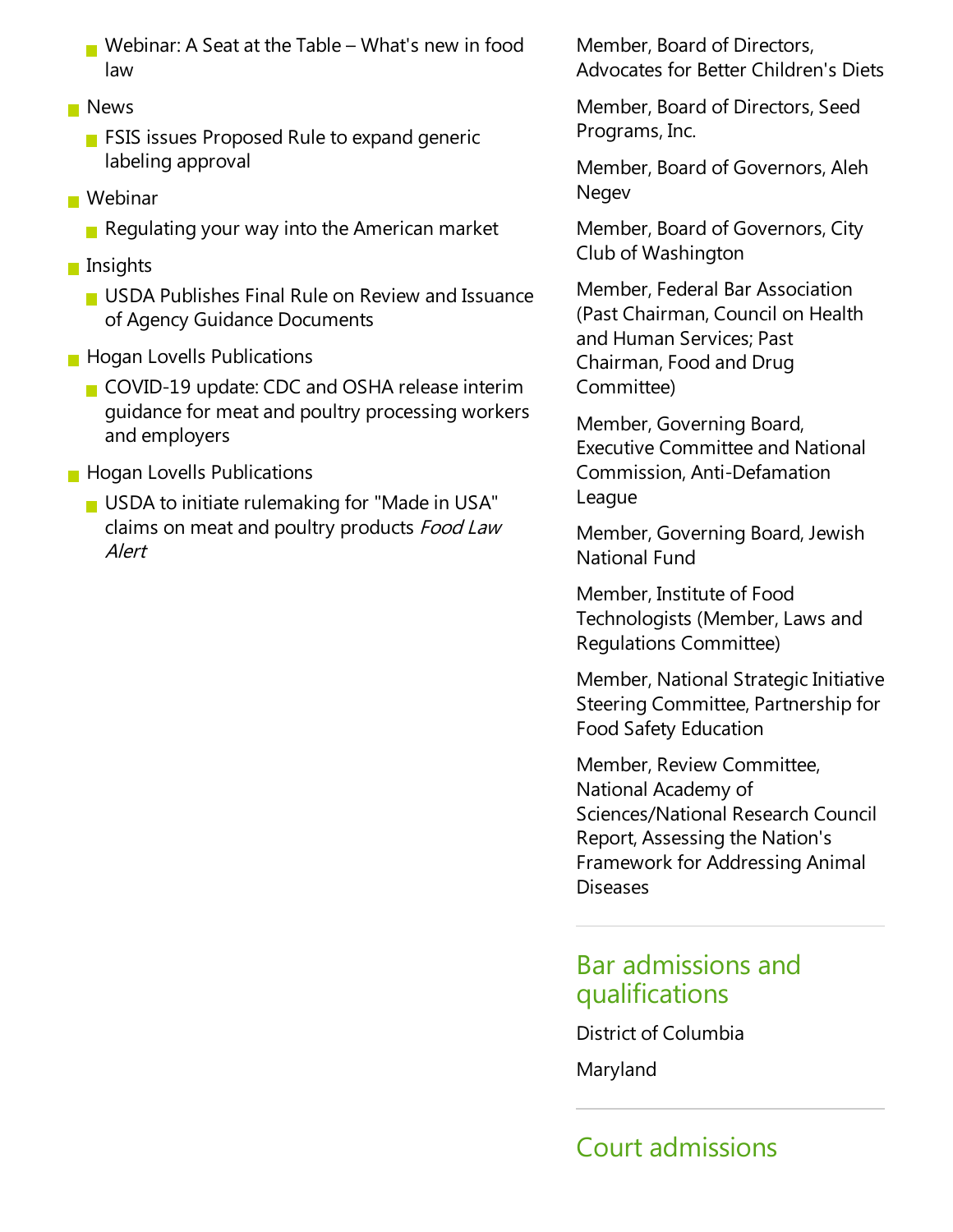- Webinar: A Seat at the Table What's new in food law
- **News** 
	- $\blacksquare$  FSIS issues Proposed Rule to expand generic labeling approval
- Webinar
	- Regulating your way into the American market
- **Insights** 
	- **USDA Publishes Final Rule on Review and Issuance** of Agency Guidance Documents
- **Hogan Lovells Publications** 
	- COVID-19 update: CDC and OSHA release interim guidance for meat and poultry processing workers and employers
- **Hogan Lovells Publications** 
	- $\blacksquare$  USDA to initiate rulemaking for "Made in USA" claims on meat and poultry products Food Law Alert

Member, Board of Directors, Advocates for Better Children's Diets

Member, Board of Directors, Seed Programs, Inc.

Member, Board of Governors, Aleh **Negev** 

Member, Board of Governors, City Club of Washington

Member, Federal Bar Association (Past Chairman, Council on Health and Human Services; Past Chairman, Food and Drug Committee)

Member, Governing Board, **Executive Committee and National** Commission, Anti-Defamation League

Member, Governing Board, Jewish National Fund

Member, Institute of Food Technologists (Member, Laws and Regulations Committee)

Member, National Strategic Initiative Steering Committee, Partnership for Food Safety Education

Member, Review Committee, National Academy of Sciences/National Research Council Report, Assessing the Nation's Framework for Addressing Animal Diseases

#### Bar admissions and qualifications

District of Columbia

Maryland

# Court admissions